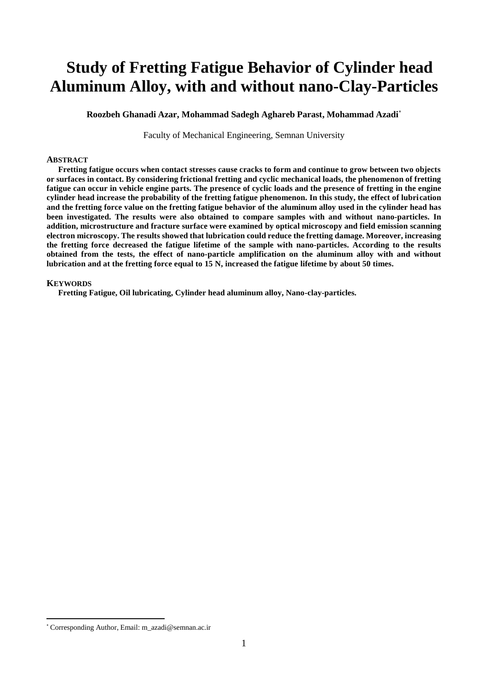# **Study of Fretting Fatigue Behavior of Cylinder head Aluminum Alloy, with and without nano-Clay-Particles**

**Roozbeh Ghanadi Azar, Mohammad Sadegh Aghareb Parast, Mohammad Azadi**\*

Faculty of Mechanical Engineering, Semnan University

### **ABSTRACT**

**Fretting fatigue occurs when contact stresses cause cracks to form and continue to grow between two objects or surfaces in contact. By considering frictional fretting and cyclic mechanical loads, the phenomenon of fretting fatigue can occur in vehicle engine parts. The presence of cyclic loads and the presence of fretting in the engine cylinder head increase the probability of the fretting fatigue phenomenon. In this study, the effect of lubrication and the fretting force value on the fretting fatigue behavior of the aluminum alloy used in the cylinder head has been investigated. The results were also obtained to compare samples with and without nano-particles. In addition, microstructure and fracture surface were examined by optical microscopy and field emission scanning electron microscopy. The results showed that lubrication could reduce the fretting damage. Moreover, increasing the fretting force decreased the fatigue lifetime of the sample with nano-particles. According to the results obtained from the tests, the effect of nano-particle amplification on the aluminum alloy with and without lubrication and at the fretting force equal to 15 N, increased the fatigue lifetime by about 50 times.**

## **KEYWORDS**

**Fretting Fatigue, Oil lubricating, Cylinder head aluminum alloy, Nano-clay-particles.**

 $\overline{a}$ 

<sup>\*</sup> Corresponding Author, Email: m\_azadi@semnan.ac.ir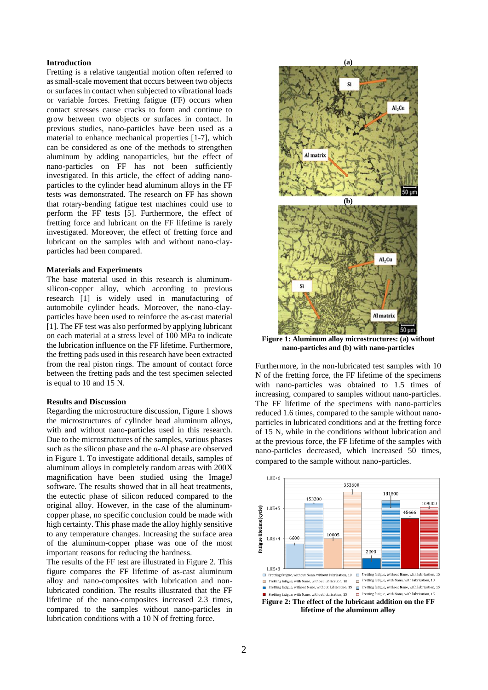## **Introduction**

Fretting is a relative tangential motion often referred to as small-scale movement that occurs between two objects or surfaces in contact when subjected to vibrational loads or variable forces. Fretting fatigue (FF) occurs when contact stresses cause cracks to form and continue to grow between two objects or surfaces in contact. In previous studies, nano-particles have been used as a material to enhance mechanical properties [1-7], which can be considered as one of the methods to strengthen aluminum by adding nanoparticles, but the effect of nano-particles on FF has not been sufficiently investigated. In this article, the effect of adding nanoparticles to the cylinder head aluminum alloys in the FF tests was demonstrated. The research on FF has shown that rotary-bending fatigue test machines could use to perform the FF tests [5]. Furthermore, the effect of fretting force and lubricant on the FF lifetime is rarely investigated. Moreover, the effect of fretting force and lubricant on the samples with and without nano-clayparticles had been compared.

#### **Materials and Experiments**

The base material used in this research is aluminumsilicon-copper alloy, which according to previous research [1] is widely used in manufacturing of automobile cylinder heads. Moreover, the nano-clayparticles have been used to reinforce the as-cast material [1]. The FF test was also performed by applying lubricant on each material at a stress level of 100 MPa to indicate the lubrication influence on the FF lifetime. Furthermore, the fretting pads used in this research have been extracted from the real piston rings. The amount of contact force between the fretting pads and the test specimen selected is equal to 10 and 15 N.

#### **Results and Discussion**

Regarding the microstructure discussion, Figure 1 shows the microstructures of cylinder head aluminum alloys, with and without nano-particles used in this research. Due to the microstructures of the samples, various phases such as the silicon phase and the  $\alpha$ -Al phase are observed in Figure 1. To investigate additional details, samples of aluminum alloys in completely random areas with 200X magnification have been studied using the ImageJ software. The results showed that in all heat treatments, the eutectic phase of silicon reduced compared to the original alloy. However, in the case of the aluminumcopper phase, no specific conclusion could be made with high certainty. This phase made the alloy highly sensitive to any temperature changes. Increasing the surface area of the aluminum-copper phase was one of the most important reasons for reducing the hardness.

The results of the FF test are illustrated in Figure 2. This figure compares the FF lifetime of as-cast aluminum alloy and nano-composites with lubrication and nonlubricated condition. The results illustrated that the FF lifetime of the nano-composites increased 2.3 times, compared to the samples without nano-particles in lubrication conditions with a 10 N of fretting force.



**Figure 1: Aluminum alloy microstructures: (a) without nano-particles and (b) with nano-particles**

Furthermore, in the non-lubricated test samples with 10 N of the fretting force, the FF lifetime of the specimens with nano-particles was obtained to 1.5 times of increasing, compared to samples without nano-particles. The FF lifetime of the specimens with nano-particles reduced 1.6 times, compared to the sample without nanoparticles in lubricated conditions and at the fretting force of 15 N, while in the conditions without lubrication and at the previous force, the FF lifetime of the samples with nano-particles decreased, which increased 50 times, compared to the sample without nano-particles.